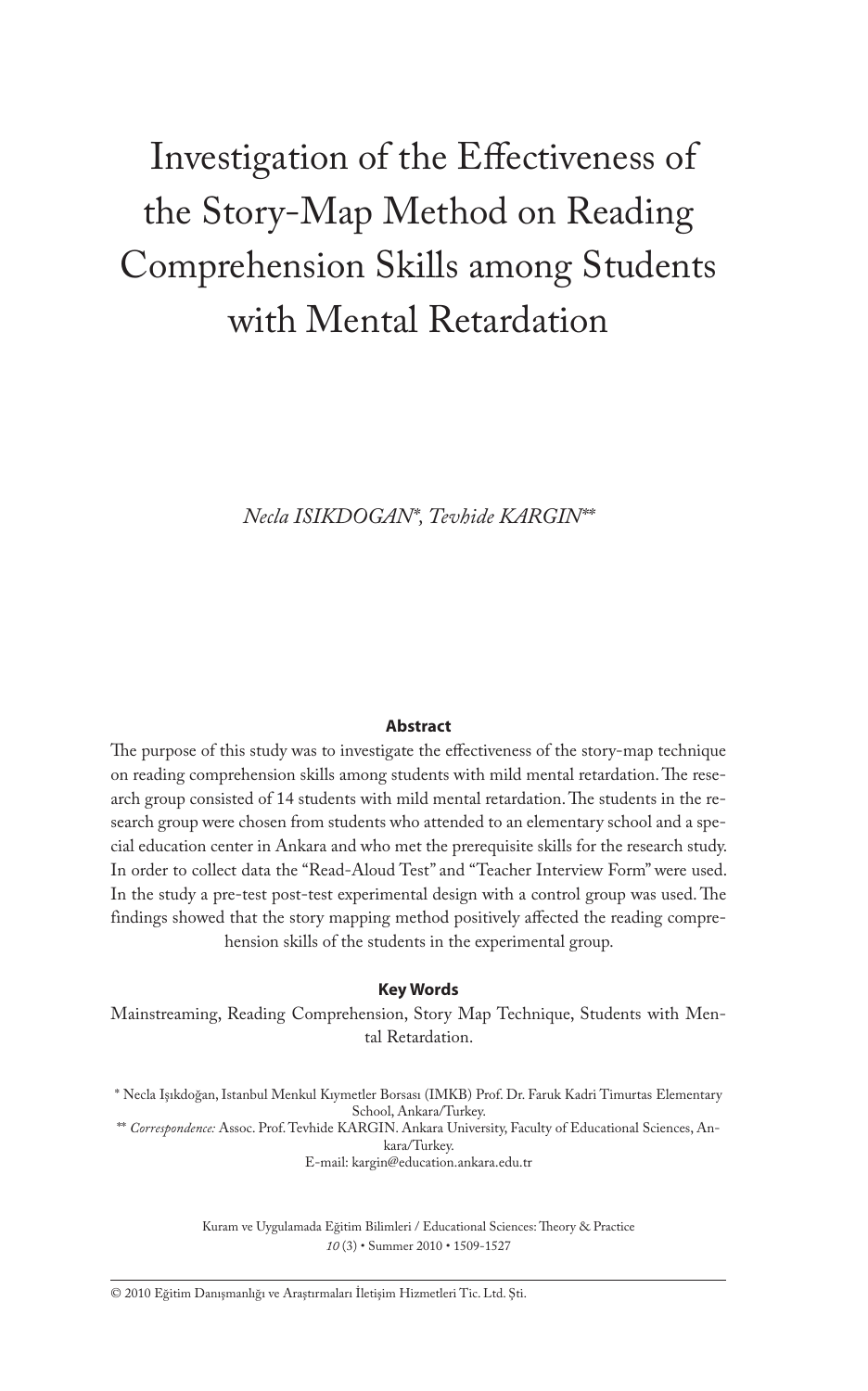# Investigation of the Effectiveness of the Story-Map Method on Reading Comprehension Skills among Students with Mental Retardation

*Necla ISIKDOGAN\*, Tevhide KARGIN\*\**

#### **Abstract**

The purpose of this study was to investigate the effectiveness of the story-map technique on reading comprehension skills among students with mild mental retardation. The research group consisted of 14 students with mild mental retardation. The students in the research group were chosen from students who attended to an elementary school and a special education center in Ankara and who met the prerequisite skills for the research study. In order to collect data the "Read-Aloud Test" and "Teacher Interview Form" were used. In the study a pre-test post-test experimental design with a control group was used. The findings showed that the story mapping method positively affected the reading comprehension skills of the students in the experimental group.

#### **Key Words**

Mainstreaming, Reading Comprehension, Story Map Technique, Students with Mental Retardation.

\* Necla Işıkdoğan, Istanbul Menkul Kıymetler Borsası (IMKB) Prof. Dr. Faruk Kadri Timurtas Elementary School, Ankara/Turkey.

\*\* *Correspondence:* Assoc. Prof. Tevhide KARGIN. Ankara University, Faculty of Educational Sciences, Ankara/Turkey. E-mail: kargin@education.ankara.edu.tr

> Kuram ve Uygulamada Eğitim Bilimleri / Educational Sciences: Theory & Practice *10* (3) • Summer 2010 • 1509-1527

© 2010 Eğitim Danışmanlığı ve Araştırmaları İletişim Hizmetleri Tic. Ltd. Şti.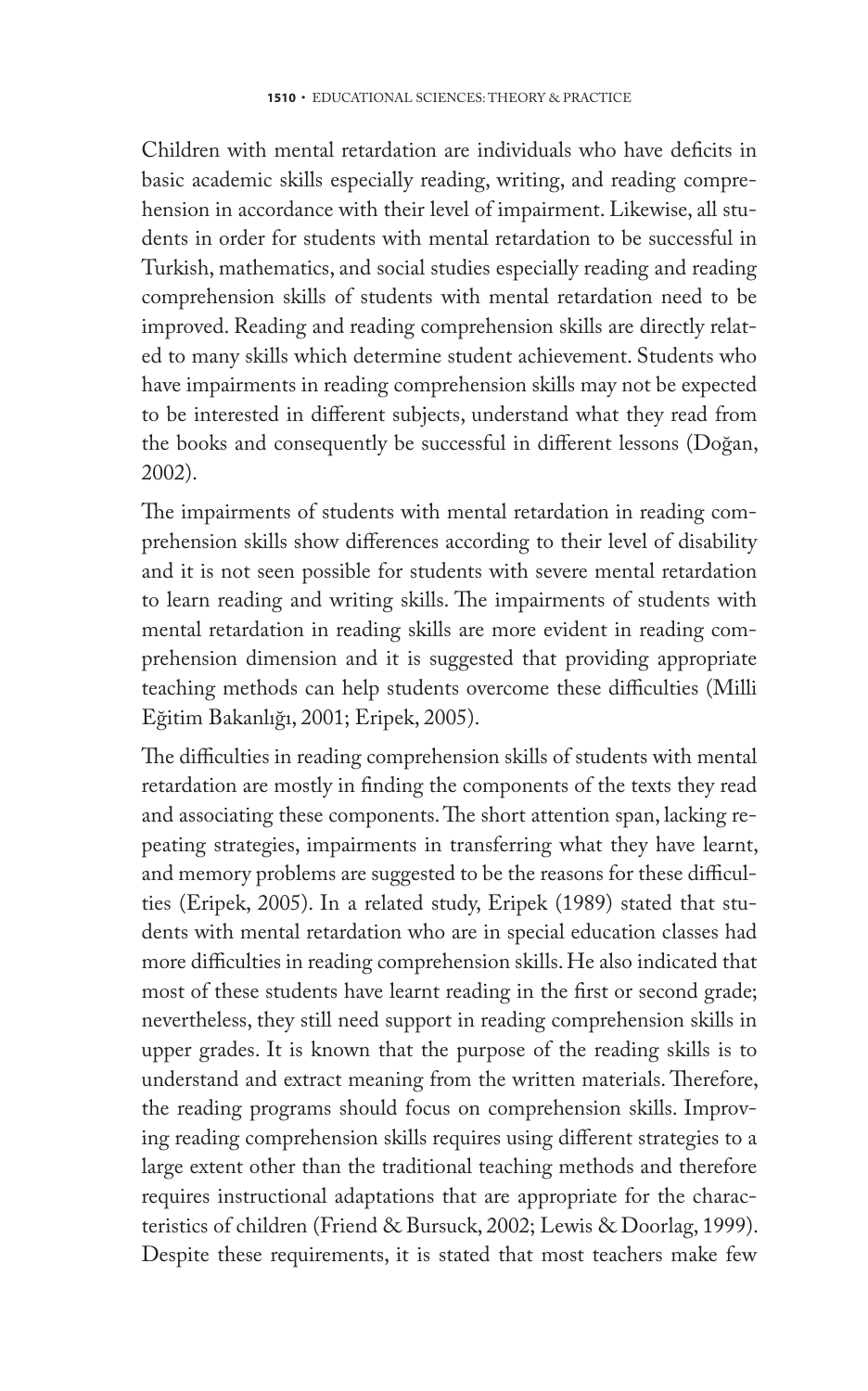Children with mental retardation are individuals who have deficits in basic academic skills especially reading, writing, and reading comprehension in accordance with their level of impairment. Likewise, all students in order for students with mental retardation to be successful in Turkish, mathematics, and social studies especially reading and reading comprehension skills of students with mental retardation need to be improved. Reading and reading comprehension skills are directly related to many skills which determine student achievement. Students who have impairments in reading comprehension skills may not be expected to be interested in different subjects, understand what they read from the books and consequently be successful in different lessons (Doğan, 2002).

The impairments of students with mental retardation in reading comprehension skills show differences according to their level of disability and it is not seen possible for students with severe mental retardation to learn reading and writing skills. The impairments of students with mental retardation in reading skills are more evident in reading comprehension dimension and it is suggested that providing appropriate teaching methods can help students overcome these difficulties (Milli Eğitim Bakanlığı, 2001; Eripek, 2005).

The difficulties in reading comprehension skills of students with mental retardation are mostly in finding the components of the texts they read and associating these components. The short attention span, lacking repeating strategies, impairments in transferring what they have learnt, and memory problems are suggested to be the reasons for these difficulties (Eripek, 2005). In a related study, Eripek (1989) stated that students with mental retardation who are in special education classes had more difficulties in reading comprehension skills. He also indicated that most of these students have learnt reading in the first or second grade; nevertheless, they still need support in reading comprehension skills in upper grades. It is known that the purpose of the reading skills is to understand and extract meaning from the written materials. Therefore, the reading programs should focus on comprehension skills. Improving reading comprehension skills requires using different strategies to a large extent other than the traditional teaching methods and therefore requires instructional adaptations that are appropriate for the characteristics of children (Friend & Bursuck, 2002; Lewis & Doorlag, 1999). Despite these requirements, it is stated that most teachers make few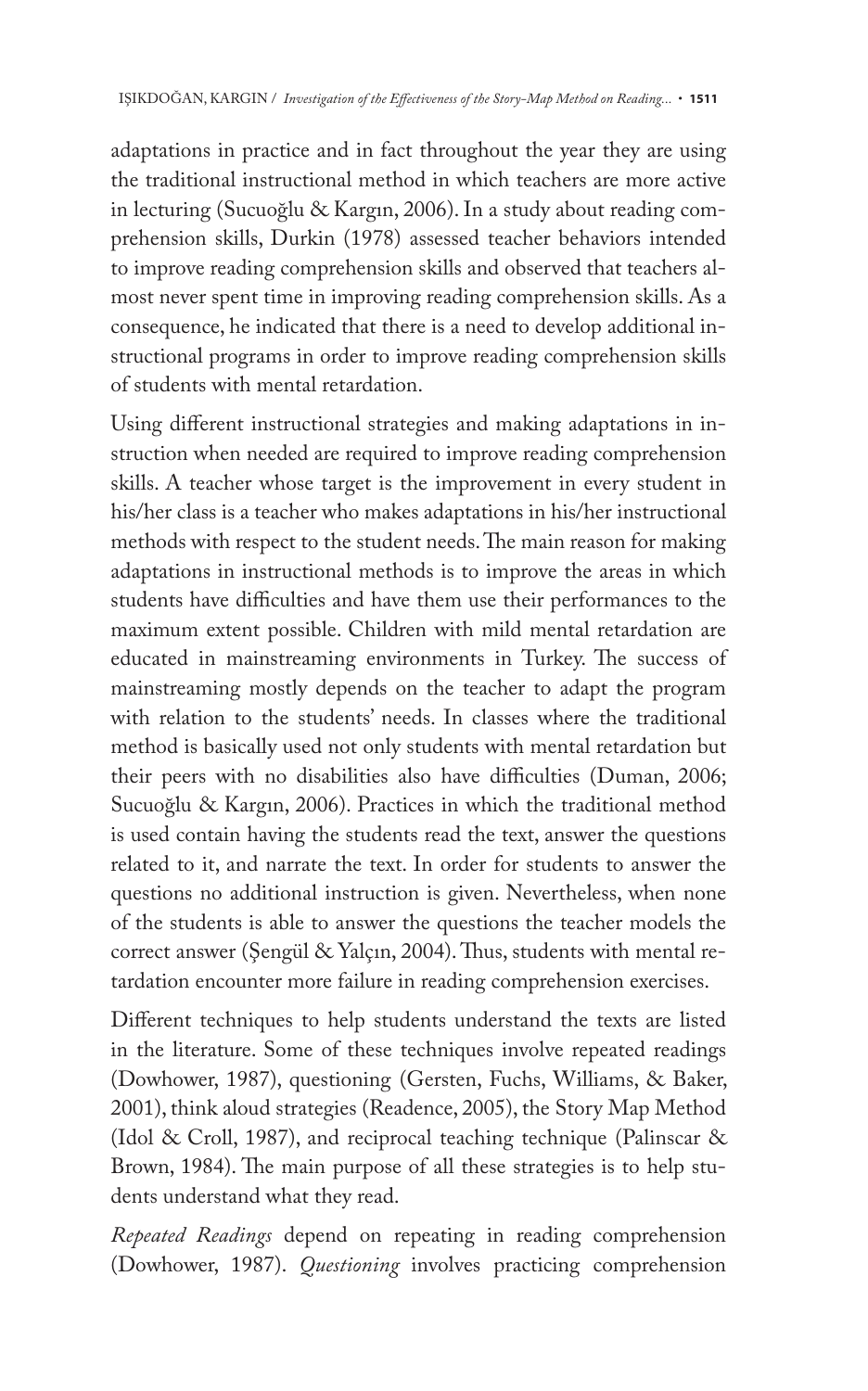adaptations in practice and in fact throughout the year they are using the traditional instructional method in which teachers are more active in lecturing (Sucuoğlu & Kargın, 2006). In a study about reading comprehension skills, Durkin (1978) assessed teacher behaviors intended to improve reading comprehension skills and observed that teachers almost never spent time in improving reading comprehension skills. As a consequence, he indicated that there is a need to develop additional instructional programs in order to improve reading comprehension skills of students with mental retardation.

Using different instructional strategies and making adaptations in instruction when needed are required to improve reading comprehension skills. A teacher whose target is the improvement in every student in his/her class is a teacher who makes adaptations in his/her instructional methods with respect to the student needs. The main reason for making adaptations in instructional methods is to improve the areas in which students have difficulties and have them use their performances to the maximum extent possible. Children with mild mental retardation are educated in mainstreaming environments in Turkey. The success of mainstreaming mostly depends on the teacher to adapt the program with relation to the students' needs. In classes where the traditional method is basically used not only students with mental retardation but their peers with no disabilities also have difficulties (Duman, 2006; Sucuoğlu & Kargın, 2006). Practices in which the traditional method is used contain having the students read the text, answer the questions related to it, and narrate the text. In order for students to answer the questions no additional instruction is given. Nevertheless, when none of the students is able to answer the questions the teacher models the correct answer (Şengül & Yalçın, 2004). Thus, students with mental retardation encounter more failure in reading comprehension exercises.

Different techniques to help students understand the texts are listed in the literature. Some of these techniques involve repeated readings (Dowhower, 1987), questioning (Gersten, Fuchs, Williams, & Baker, 2001), think aloud strategies (Readence, 2005), the Story Map Method (Idol & Croll, 1987), and reciprocal teaching technique (Palinscar & Brown, 1984). The main purpose of all these strategies is to help students understand what they read.

*Repeated Readings* depend on repeating in reading comprehension (Dowhower, 1987). *Questioning* involves practicing comprehension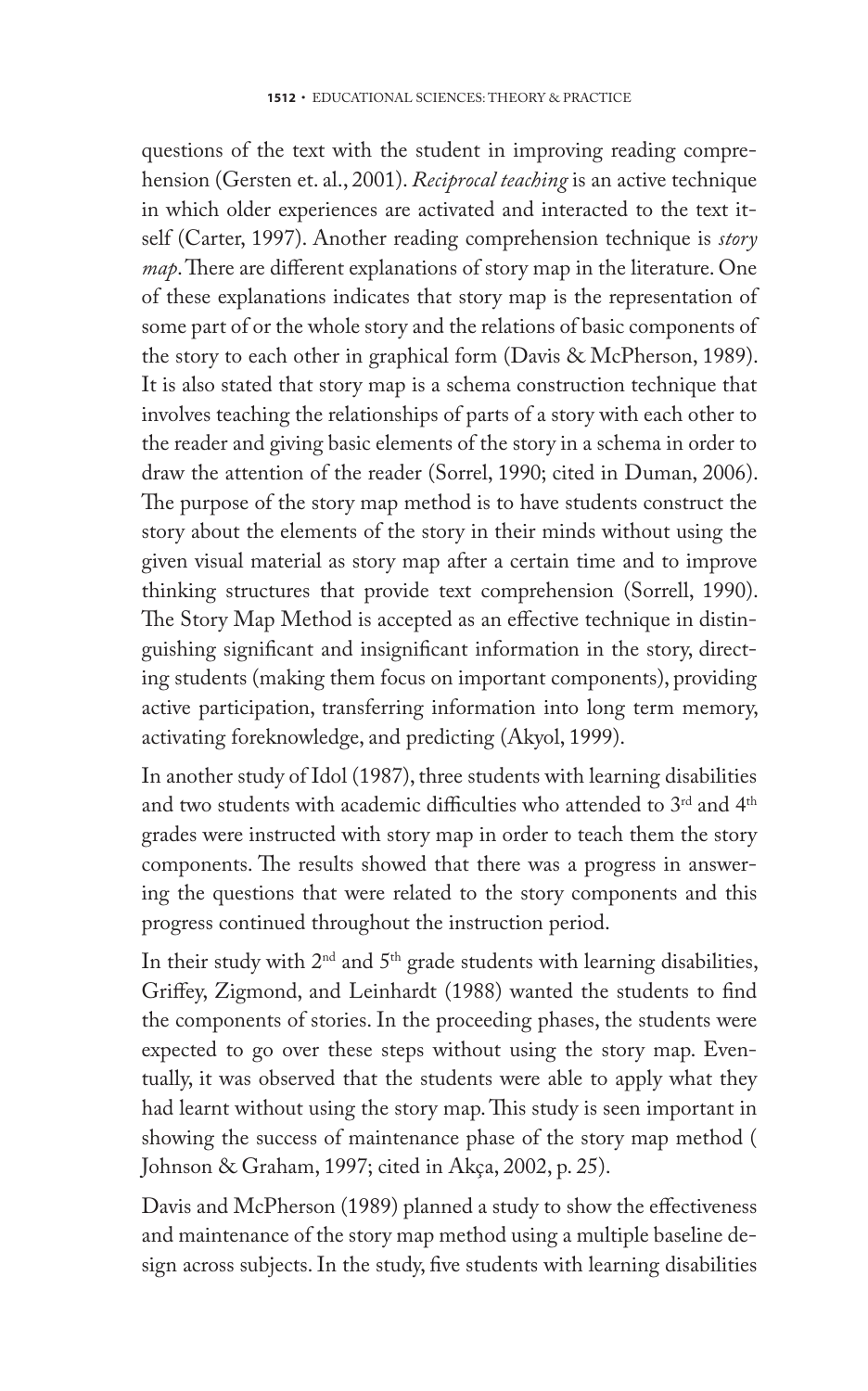questions of the text with the student in improving reading comprehension (Gersten et. al., 2001). *Reciprocal teaching* is an active technique in which older experiences are activated and interacted to the text itself (Carter, 1997). Another reading comprehension technique is *story map*. There are different explanations of story map in the literature. One of these explanations indicates that story map is the representation of some part of or the whole story and the relations of basic components of the story to each other in graphical form (Davis & McPherson, 1989). It is also stated that story map is a schema construction technique that involves teaching the relationships of parts of a story with each other to the reader and giving basic elements of the story in a schema in order to draw the attention of the reader (Sorrel, 1990; cited in Duman, 2006). The purpose of the story map method is to have students construct the story about the elements of the story in their minds without using the given visual material as story map after a certain time and to improve thinking structures that provide text comprehension (Sorrell, 1990). The Story Map Method is accepted as an effective technique in distinguishing significant and insignificant information in the story, directing students (making them focus on important components), providing active participation, transferring information into long term memory, activating foreknowledge, and predicting (Akyol, 1999).

In another study of Idol (1987), three students with learning disabilities and two students with academic difficulties who attended to  $3^{\text{rd}}$  and  $4^{\text{th}}$ grades were instructed with story map in order to teach them the story components. The results showed that there was a progress in answering the questions that were related to the story components and this progress continued throughout the instruction period.

In their study with  $2<sup>nd</sup>$  and  $5<sup>th</sup>$  grade students with learning disabilities, Griffey, Zigmond, and Leinhardt (1988) wanted the students to find the components of stories. In the proceeding phases, the students were expected to go over these steps without using the story map. Eventually, it was observed that the students were able to apply what they had learnt without using the story map. This study is seen important in showing the success of maintenance phase of the story map method ( Johnson & Graham, 1997; cited in Akça, 2002, p. 25).

Davis and McPherson (1989) planned a study to show the effectiveness and maintenance of the story map method using a multiple baseline design across subjects. In the study, five students with learning disabilities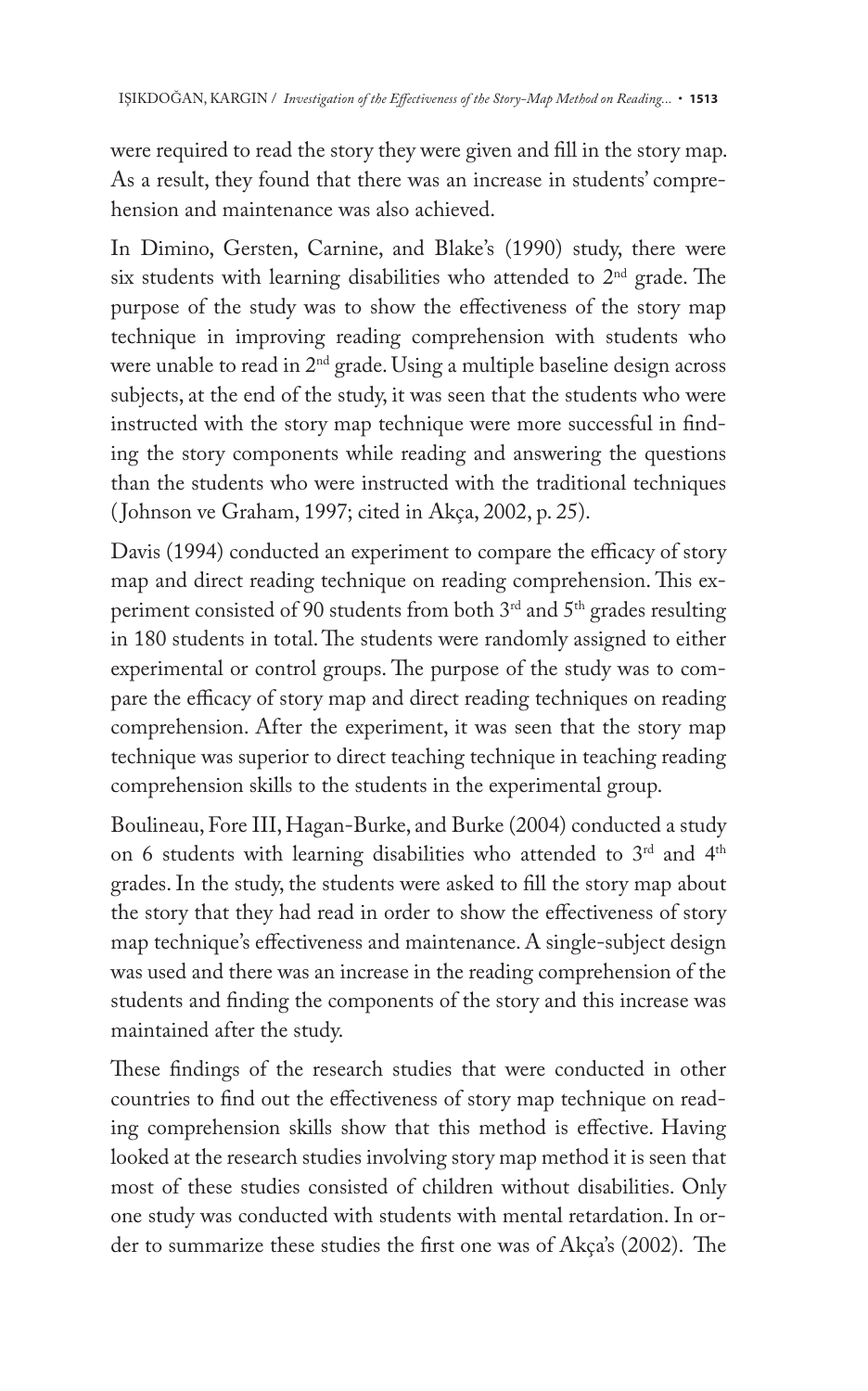were required to read the story they were given and fill in the story map. As a result, they found that there was an increase in students' comprehension and maintenance was also achieved.

In Dimino, Gersten, Carnine, and Blake's (1990) study, there were six students with learning disabilities who attended to 2<sup>nd</sup> grade. The purpose of the study was to show the effectiveness of the story map technique in improving reading comprehension with students who were unable to read in 2<sup>nd</sup> grade. Using a multiple baseline design across subjects, at the end of the study, it was seen that the students who were instructed with the story map technique were more successful in finding the story components while reading and answering the questions than the students who were instructed with the traditional techniques ( Johnson ve Graham, 1997; cited in Akça, 2002, p. 25).

Davis (1994) conducted an experiment to compare the efficacy of story map and direct reading technique on reading comprehension. This experiment consisted of 90 students from both 3rd and 5th grades resulting in 180 students in total. The students were randomly assigned to either experimental or control groups. The purpose of the study was to compare the efficacy of story map and direct reading techniques on reading comprehension. After the experiment, it was seen that the story map technique was superior to direct teaching technique in teaching reading comprehension skills to the students in the experimental group.

Boulineau, Fore III, Hagan-Burke, and Burke (2004) conducted a study on 6 students with learning disabilities who attended to 3<sup>rd</sup> and 4<sup>th</sup> grades. In the study, the students were asked to fill the story map about the story that they had read in order to show the effectiveness of story map technique's effectiveness and maintenance. A single-subject design was used and there was an increase in the reading comprehension of the students and finding the components of the story and this increase was maintained after the study.

These findings of the research studies that were conducted in other countries to find out the effectiveness of story map technique on reading comprehension skills show that this method is effective. Having looked at the research studies involving story map method it is seen that most of these studies consisted of children without disabilities. Only one study was conducted with students with mental retardation. In order to summarize these studies the first one was of Akça's (2002). The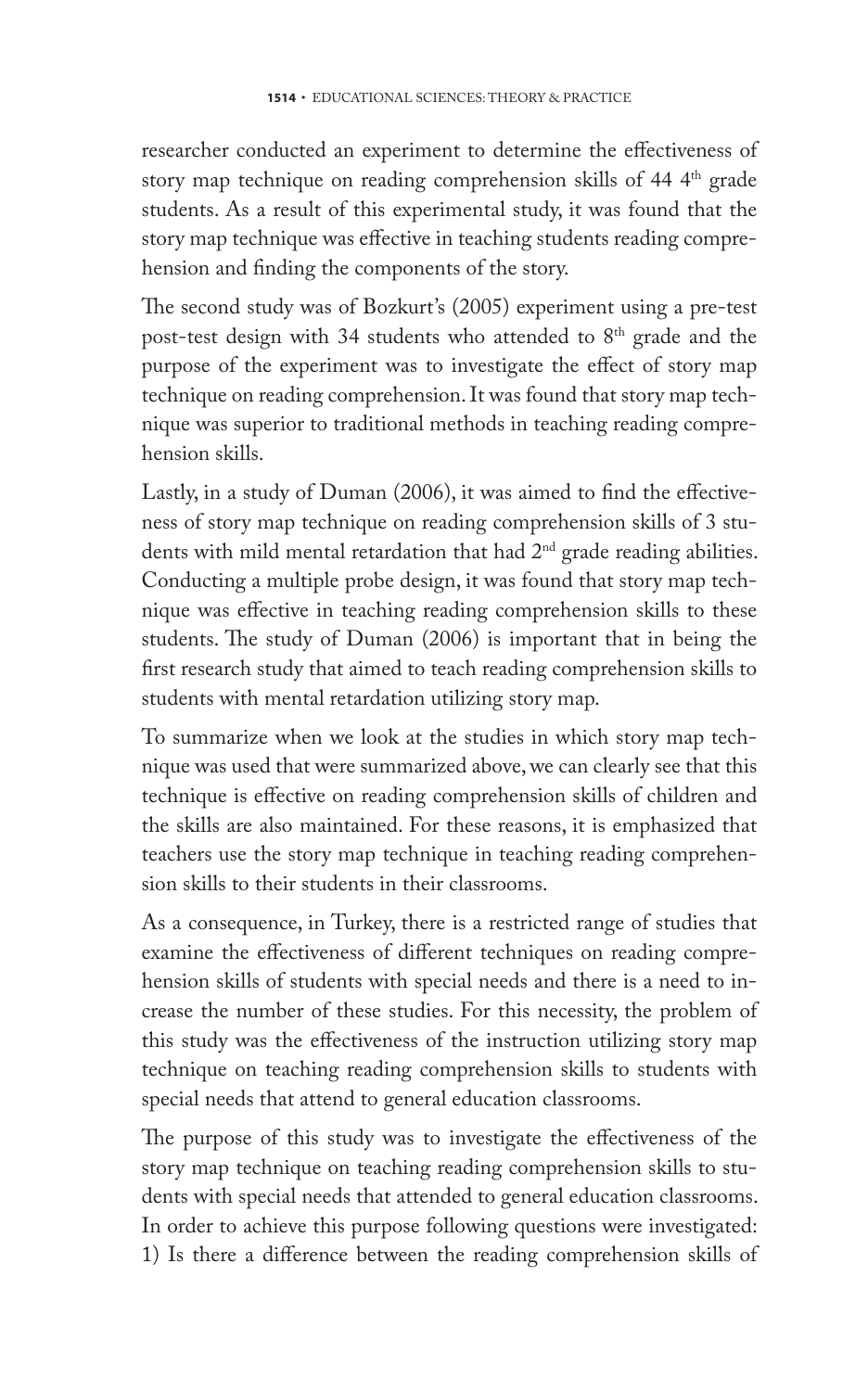researcher conducted an experiment to determine the effectiveness of story map technique on reading comprehension skills of 44 4<sup>th</sup> grade students. As a result of this experimental study, it was found that the story map technique was effective in teaching students reading comprehension and finding the components of the story.

The second study was of Bozkurt's (2005) experiment using a pre-test post-test design with 34 students who attended to 8<sup>th</sup> grade and the purpose of the experiment was to investigate the effect of story map technique on reading comprehension. It was found that story map technique was superior to traditional methods in teaching reading comprehension skills.

Lastly, in a study of Duman (2006), it was aimed to find the effectiveness of story map technique on reading comprehension skills of 3 students with mild mental retardation that had  $2<sup>nd</sup>$  grade reading abilities. Conducting a multiple probe design, it was found that story map technique was effective in teaching reading comprehension skills to these students. The study of Duman (2006) is important that in being the first research study that aimed to teach reading comprehension skills to students with mental retardation utilizing story map.

To summarize when we look at the studies in which story map technique was used that were summarized above, we can clearly see that this technique is effective on reading comprehension skills of children and the skills are also maintained. For these reasons, it is emphasized that teachers use the story map technique in teaching reading comprehension skills to their students in their classrooms.

As a consequence, in Turkey, there is a restricted range of studies that examine the effectiveness of different techniques on reading comprehension skills of students with special needs and there is a need to increase the number of these studies. For this necessity, the problem of this study was the effectiveness of the instruction utilizing story map technique on teaching reading comprehension skills to students with special needs that attend to general education classrooms.

The purpose of this study was to investigate the effectiveness of the story map technique on teaching reading comprehension skills to students with special needs that attended to general education classrooms. In order to achieve this purpose following questions were investigated: 1) Is there a difference between the reading comprehension skills of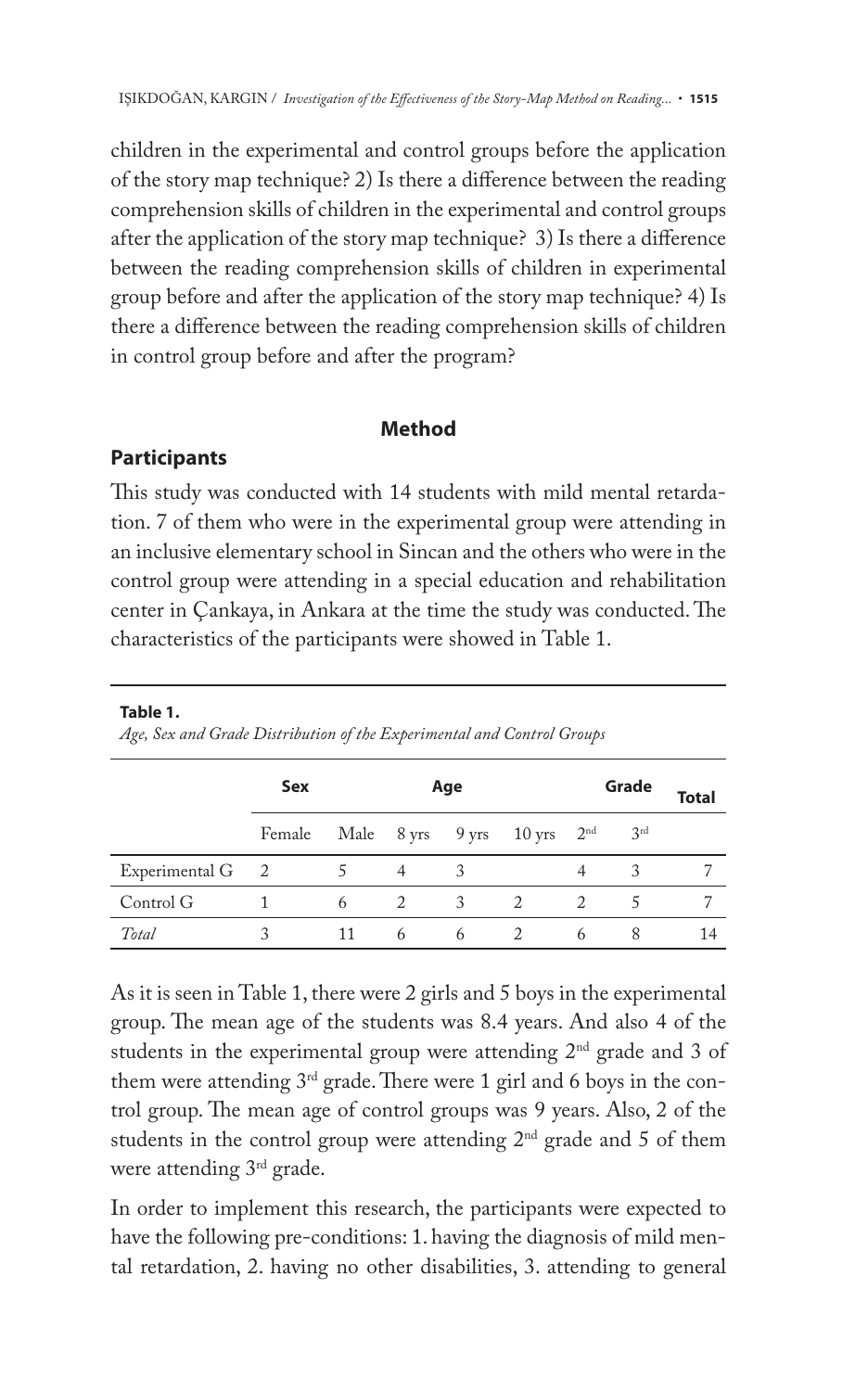children in the experimental and control groups before the application of the story map technique? 2) Is there a difference between the reading comprehension skills of children in the experimental and control groups after the application of the story map technique? 3) Is there a difference between the reading comprehension skills of children in experimental group before and after the application of the story map technique? 4) Is there a difference between the reading comprehension skills of children in control group before and after the program?

## **Method**

## **Participants**

**Table 1.** 

This study was conducted with 14 students with mild mental retardation. 7 of them who were in the experimental group were attending in an inclusive elementary school in Sincan and the others who were in the control group were attending in a special education and rehabilitation center in Çankaya, in Ankara at the time the study was conducted. The characteristics of the participants were showed in Table 1.

|                  | Sex<br>Age                                               |    |                | Grade |                | <b>Total</b> |                 |    |
|------------------|----------------------------------------------------------|----|----------------|-------|----------------|--------------|-----------------|----|
|                  | Female Male $8 \text{ yrs}$ 9 yrs 10 yrs $2^{\text{nd}}$ |    |                |       |                |              | 3 <sup>rd</sup> |    |
| Experimental G 2 |                                                          |    | $\overline{4}$ | 3     |                |              |                 |    |
| Control G        |                                                          | 6  | 2              | 3     | $\overline{2}$ | 2            |                 |    |
| Total            |                                                          | 11 | 6              | 6     |                | 6            |                 | 14 |

*Age, Sex and Grade Distribution of the Experimental and Control Groups*

As it is seen in Table 1, there were 2 girls and 5 boys in the experimental group. The mean age of the students was 8.4 years. And also 4 of the students in the experimental group were attending  $2<sup>nd</sup>$  grade and 3 of them were attending  $3<sup>rd</sup>$  grade. There were 1 girl and 6 boys in the control group. The mean age of control groups was 9 years. Also, 2 of the students in the control group were attending  $2<sup>nd</sup>$  grade and 5 of them were attending 3<sup>rd</sup> grade.

In order to implement this research, the participants were expected to have the following pre-conditions: 1. having the diagnosis of mild mental retardation, 2. having no other disabilities, 3. attending to general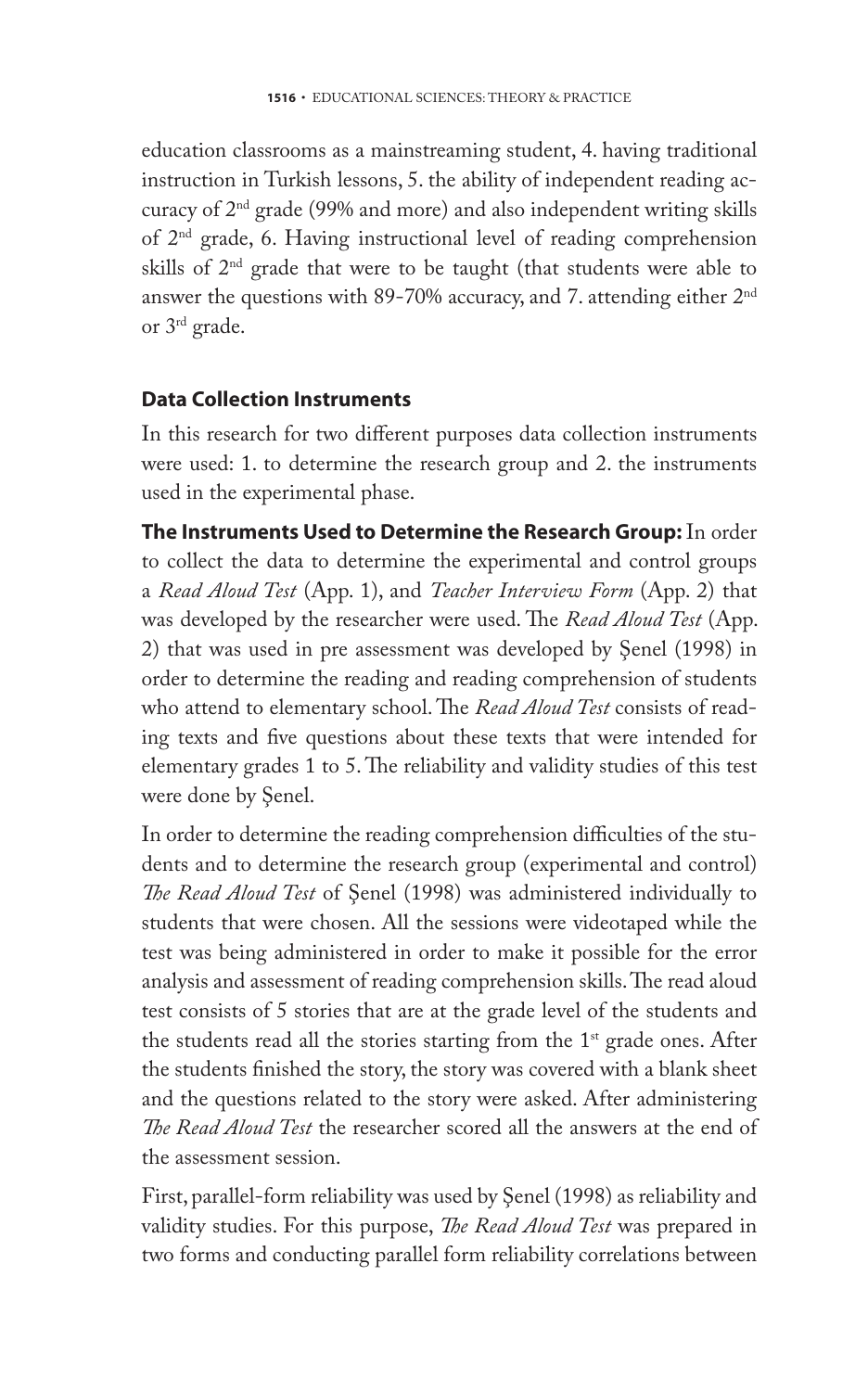education classrooms as a mainstreaming student, 4. having traditional instruction in Turkish lessons, 5. the ability of independent reading accuracy of 2nd grade (99% and more) and also independent writing skills of 2nd grade, 6. Having instructional level of reading comprehension skills of  $2<sup>nd</sup>$  grade that were to be taught (that students were able to answer the questions with 89-70% accuracy, and 7. attending either  $2<sup>nd</sup>$ or 3rd grade.

## **Data Collection Instruments**

In this research for two different purposes data collection instruments were used: 1. to determine the research group and 2. the instruments used in the experimental phase.

**The Instruments Used to Determine the Research Group:** In order to collect the data to determine the experimental and control groups a *Read Aloud Test* (App. 1), and *Teacher Interview Form* (App. 2) that was developed by the researcher were used. The *Read Aloud Test* (App. 2) that was used in pre assessment was developed by Şenel (1998) in order to determine the reading and reading comprehension of students who attend to elementary school. The *Read Aloud Test* consists of reading texts and five questions about these texts that were intended for elementary grades 1 to 5. The reliability and validity studies of this test were done by Şenel.

In order to determine the reading comprehension difficulties of the students and to determine the research group (experimental and control) *The Read Aloud Test* of Şenel (1998) was administered individually to students that were chosen. All the sessions were videotaped while the test was being administered in order to make it possible for the error analysis and assessment of reading comprehension skills. The read aloud test consists of 5 stories that are at the grade level of the students and the students read all the stories starting from the  $1<sup>st</sup>$  grade ones. After the students finished the story, the story was covered with a blank sheet and the questions related to the story were asked. After administering *The Read Aloud Test* the researcher scored all the answers at the end of the assessment session.

First, parallel-form reliability was used by Şenel (1998) as reliability and validity studies. For this purpose, *The Read Aloud Test* was prepared in two forms and conducting parallel form reliability correlations between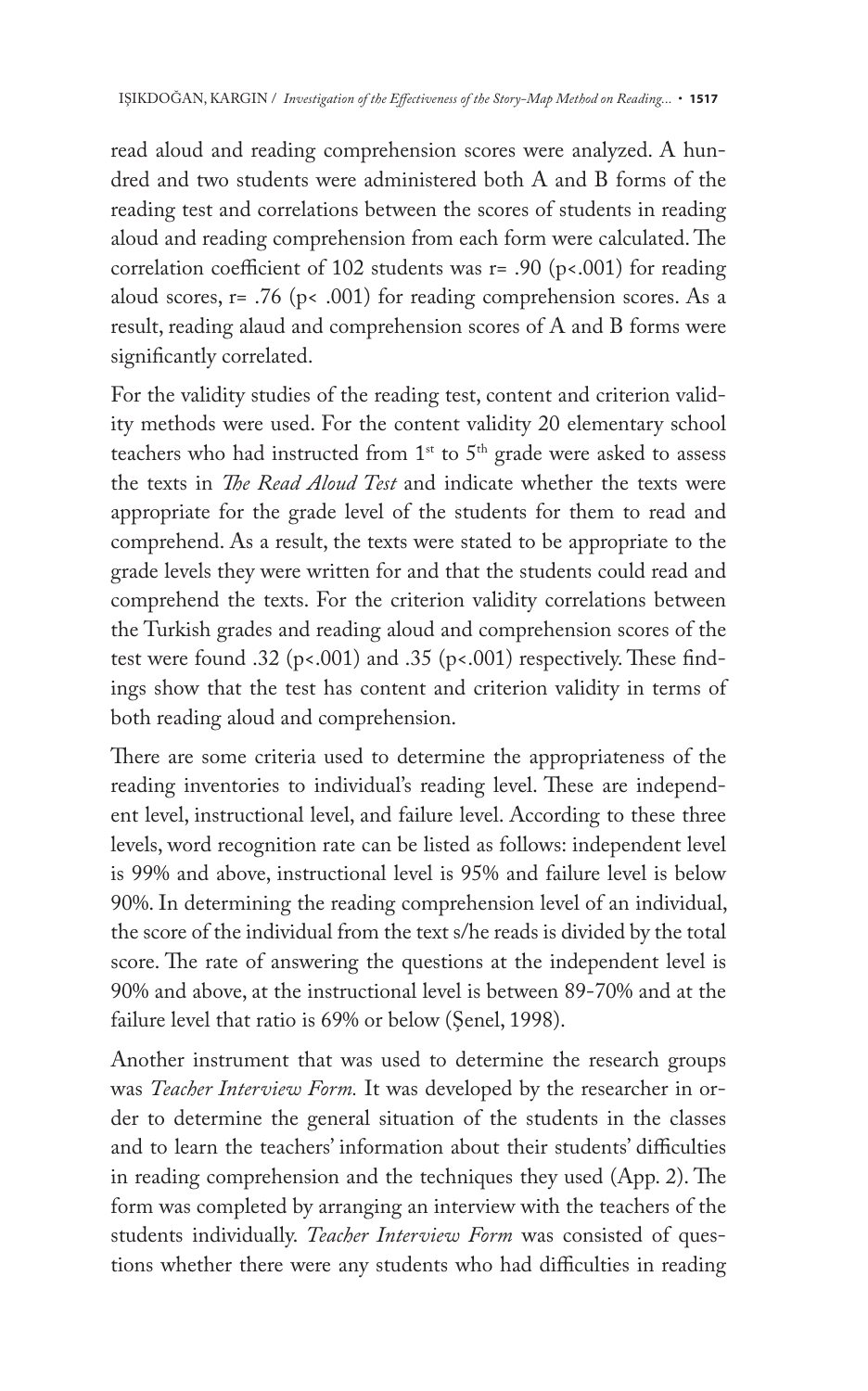read aloud and reading comprehension scores were analyzed. A hundred and two students were administered both A and B forms of the reading test and correlations between the scores of students in reading aloud and reading comprehension from each form were calculated. The correlation coefficient of 102 students was r= .90 (p<.001) for reading aloud scores,  $r = .76$  ( $p < .001$ ) for reading comprehension scores. As a result, reading alaud and comprehension scores of A and B forms were significantly correlated.

For the validity studies of the reading test, content and criterion validity methods were used. For the content validity 20 elementary school teachers who had instructed from  $1^{st}$  to  $5^{th}$  grade were asked to assess the texts in *The Read Aloud Test* and indicate whether the texts were appropriate for the grade level of the students for them to read and comprehend. As a result, the texts were stated to be appropriate to the grade levels they were written for and that the students could read and comprehend the texts. For the criterion validity correlations between the Turkish grades and reading aloud and comprehension scores of the test were found .32 ( $p$ <.001) and .35 ( $p$ <.001) respectively. These findings show that the test has content and criterion validity in terms of both reading aloud and comprehension.

There are some criteria used to determine the appropriateness of the reading inventories to individual's reading level. These are independent level, instructional level, and failure level. According to these three levels, word recognition rate can be listed as follows: independent level is 99% and above, instructional level is 95% and failure level is below 90%. In determining the reading comprehension level of an individual, the score of the individual from the text s/he reads is divided by the total score. The rate of answering the questions at the independent level is 90% and above, at the instructional level is between 89-70% and at the failure level that ratio is 69% or below (Senel, 1998).

Another instrument that was used to determine the research groups was *Teacher Interview Form.* It was developed by the researcher in order to determine the general situation of the students in the classes and to learn the teachers' information about their students' difficulties in reading comprehension and the techniques they used (App. 2). The form was completed by arranging an interview with the teachers of the students individually. *Teacher Interview Form* was consisted of questions whether there were any students who had difficulties in reading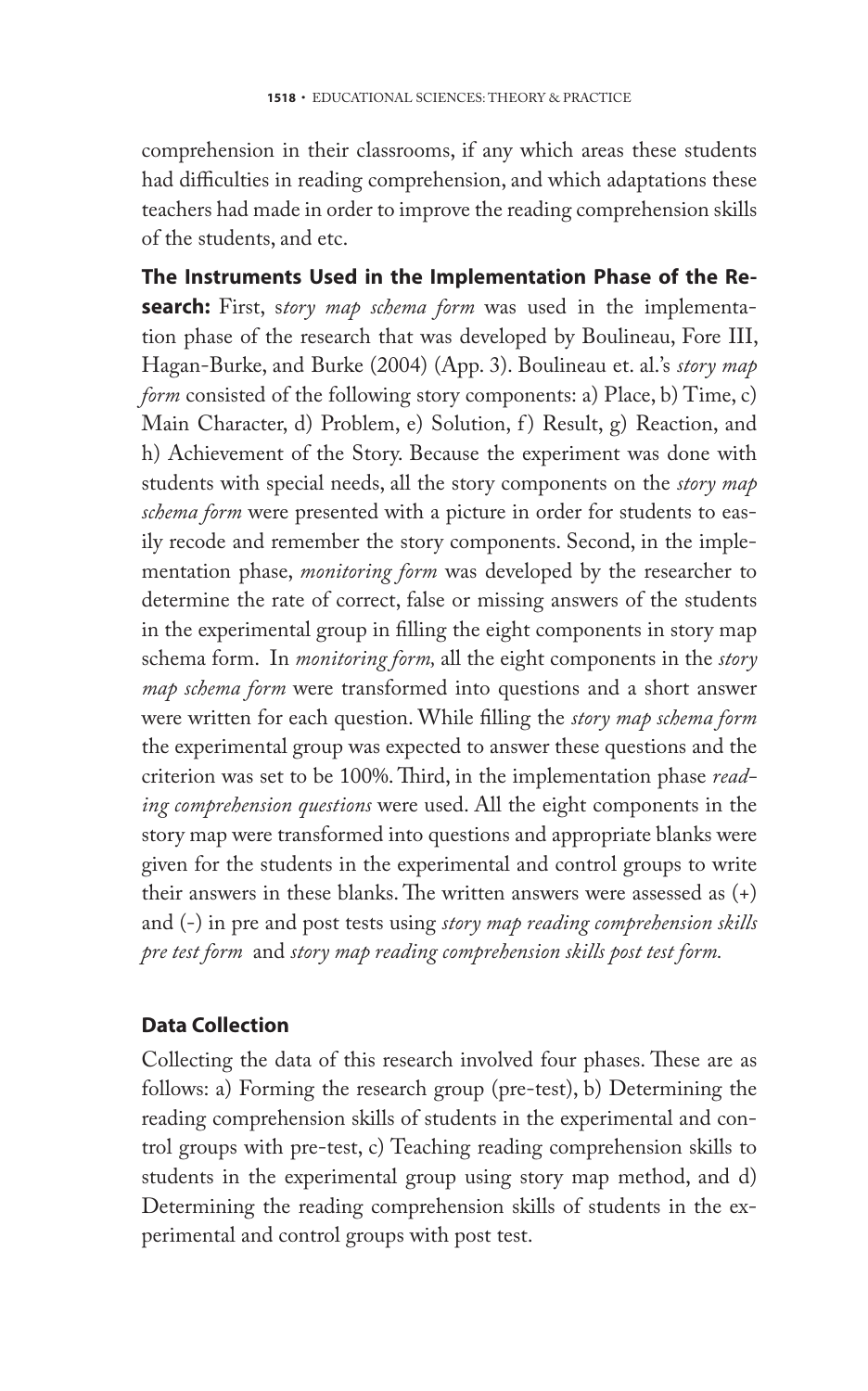comprehension in their classrooms, if any which areas these students had difficulties in reading comprehension, and which adaptations these teachers had made in order to improve the reading comprehension skills of the students, and etc.

**The Instruments Used in the Implementation Phase of the Research:** First, s*tory map schema form* was used in the implementation phase of the research that was developed by Boulineau, Fore III, Hagan-Burke, and Burke (2004) (App. 3). Boulineau et. al.'s *story map form* consisted of the following story components: a) Place, b) Time, c) Main Character, d) Problem, e) Solution, f) Result, g) Reaction, and h) Achievement of the Story. Because the experiment was done with students with special needs, all the story components on the *story map schema form* were presented with a picture in order for students to easily recode and remember the story components. Second, in the implementation phase, *monitoring form* was developed by the researcher to determine the rate of correct, false or missing answers of the students in the experimental group in filling the eight components in story map schema form. In *monitoring form,* all the eight components in the *story map schema form* were transformed into questions and a short answer were written for each question. While filling the *story map schema form*  the experimental group was expected to answer these questions and the criterion was set to be 100%. Third, in the implementation phase *reading comprehension questions* were used. All the eight components in the story map were transformed into questions and appropriate blanks were given for the students in the experimental and control groups to write their answers in these blanks. The written answers were assessed as (+) and (-) in pre and post tests using *story map reading comprehension skills pre test form* and *story map reading comprehension skills post test form.* 

## **Data Collection**

Collecting the data of this research involved four phases. These are as follows: a) Forming the research group (pre-test), b) Determining the reading comprehension skills of students in the experimental and control groups with pre-test, c) Teaching reading comprehension skills to students in the experimental group using story map method, and d) Determining the reading comprehension skills of students in the experimental and control groups with post test.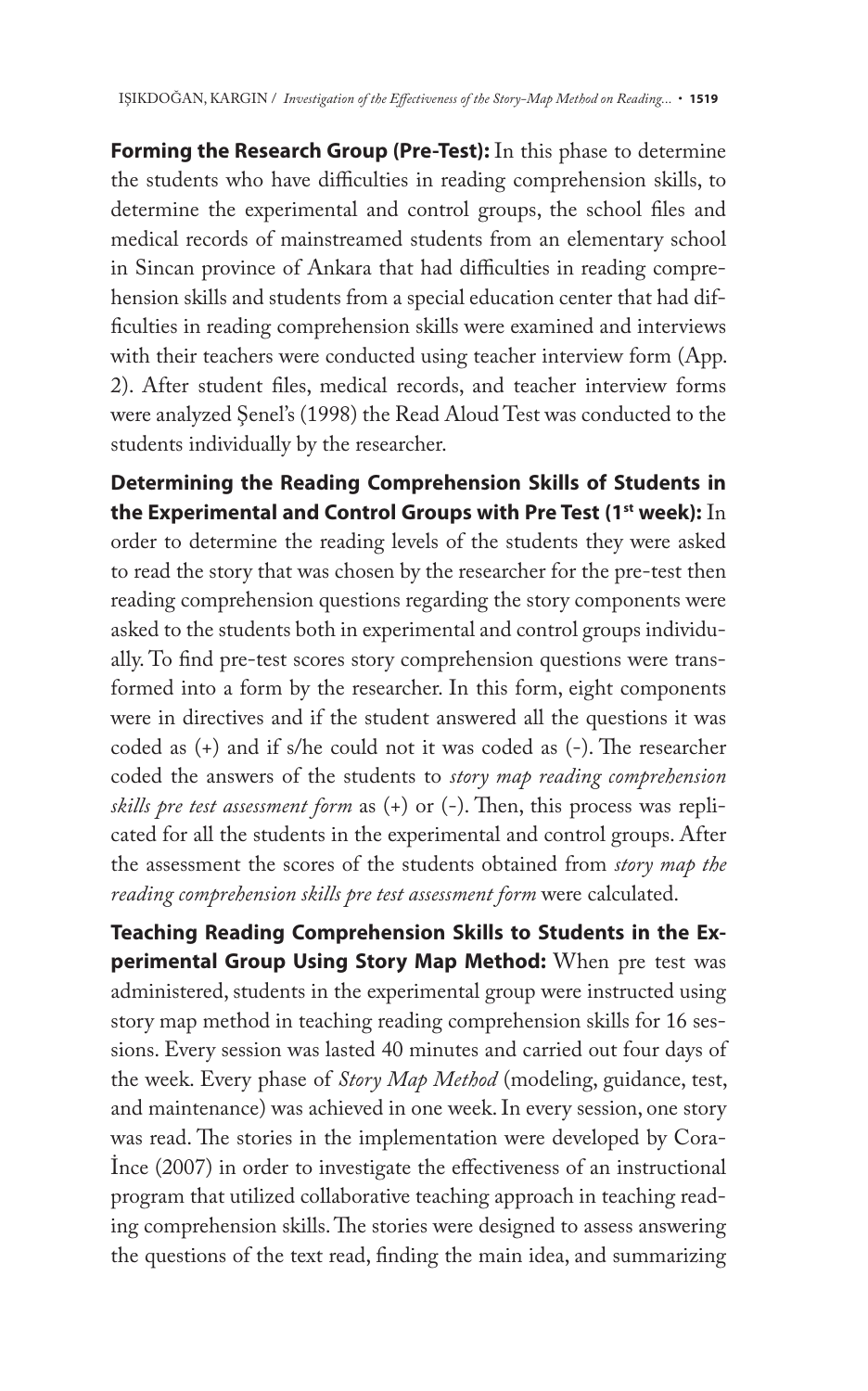**Forming the Research Group (Pre-Test):** In this phase to determine the students who have difficulties in reading comprehension skills, to determine the experimental and control groups, the school files and medical records of mainstreamed students from an elementary school in Sincan province of Ankara that had difficulties in reading comprehension skills and students from a special education center that had difficulties in reading comprehension skills were examined and interviews with their teachers were conducted using teacher interview form (App. 2). After student files, medical records, and teacher interview forms were analyzed Şenel's (1998) the Read Aloud Test was conducted to the students individually by the researcher.

**Determining the Reading Comprehension Skills of Students in the Experimental and Control Groups with Pre Test (1st week):** In order to determine the reading levels of the students they were asked to read the story that was chosen by the researcher for the pre-test then reading comprehension questions regarding the story components were asked to the students both in experimental and control groups individually. To find pre-test scores story comprehension questions were transformed into a form by the researcher. In this form, eight components were in directives and if the student answered all the questions it was coded as (+) and if s/he could not it was coded as (-). The researcher coded the answers of the students to *story map reading comprehension skills pre test assessment form* as (+) or (-). Then, this process was replicated for all the students in the experimental and control groups. After the assessment the scores of the students obtained from *story map the reading comprehension skills pre test assessment form* were calculated.

**Teaching Reading Comprehension Skills to Students in the Experimental Group Using Story Map Method:** When pre test was administered, students in the experimental group were instructed using story map method in teaching reading comprehension skills for 16 sessions. Every session was lasted 40 minutes and carried out four days of the week. Every phase of *Story Map Method* (modeling, guidance, test, and maintenance) was achieved in one week. In every session, one story was read. The stories in the implementation were developed by Cora-İnce (2007) in order to investigate the effectiveness of an instructional program that utilized collaborative teaching approach in teaching reading comprehension skills. The stories were designed to assess answering the questions of the text read, finding the main idea, and summarizing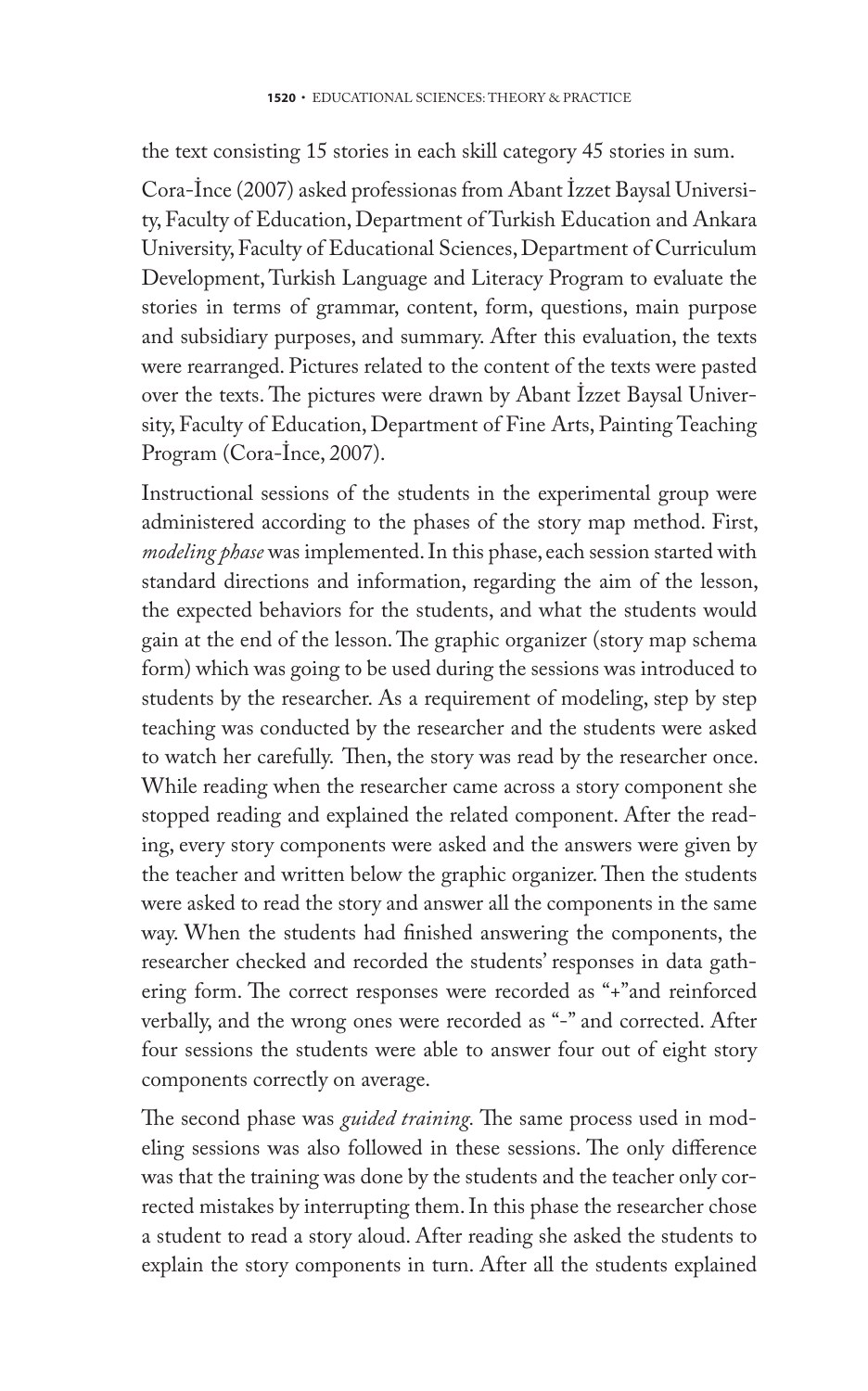the text consisting 15 stories in each skill category 45 stories in sum.

Cora-İnce (2007) asked professionas from Abant İzzet Baysal University, Faculty of Education, Department of Turkish Education and Ankara University, Faculty of Educational Sciences, Department of Curriculum Development, Turkish Language and Literacy Program to evaluate the stories in terms of grammar, content, form, questions, main purpose and subsidiary purposes, and summary. After this evaluation, the texts were rearranged. Pictures related to the content of the texts were pasted over the texts. The pictures were drawn by Abant İzzet Baysal University, Faculty of Education, Department of Fine Arts, Painting Teaching Program (Cora-İnce, 2007).

Instructional sessions of the students in the experimental group were administered according to the phases of the story map method. First, *modeling phase* was implemented. In this phase, each session started with standard directions and information, regarding the aim of the lesson, the expected behaviors for the students, and what the students would gain at the end of the lesson. The graphic organizer (story map schema form) which was going to be used during the sessions was introduced to students by the researcher. As a requirement of modeling, step by step teaching was conducted by the researcher and the students were asked to watch her carefully. Then, the story was read by the researcher once. While reading when the researcher came across a story component she stopped reading and explained the related component. After the reading, every story components were asked and the answers were given by the teacher and written below the graphic organizer. Then the students were asked to read the story and answer all the components in the same way. When the students had finished answering the components, the researcher checked and recorded the students' responses in data gathering form. The correct responses were recorded as "+"and reinforced verbally, and the wrong ones were recorded as "-" and corrected. After four sessions the students were able to answer four out of eight story components correctly on average.

The second phase was *guided training.* The same process used in modeling sessions was also followed in these sessions. The only difference was that the training was done by the students and the teacher only corrected mistakes by interrupting them. In this phase the researcher chose a student to read a story aloud. After reading she asked the students to explain the story components in turn. After all the students explained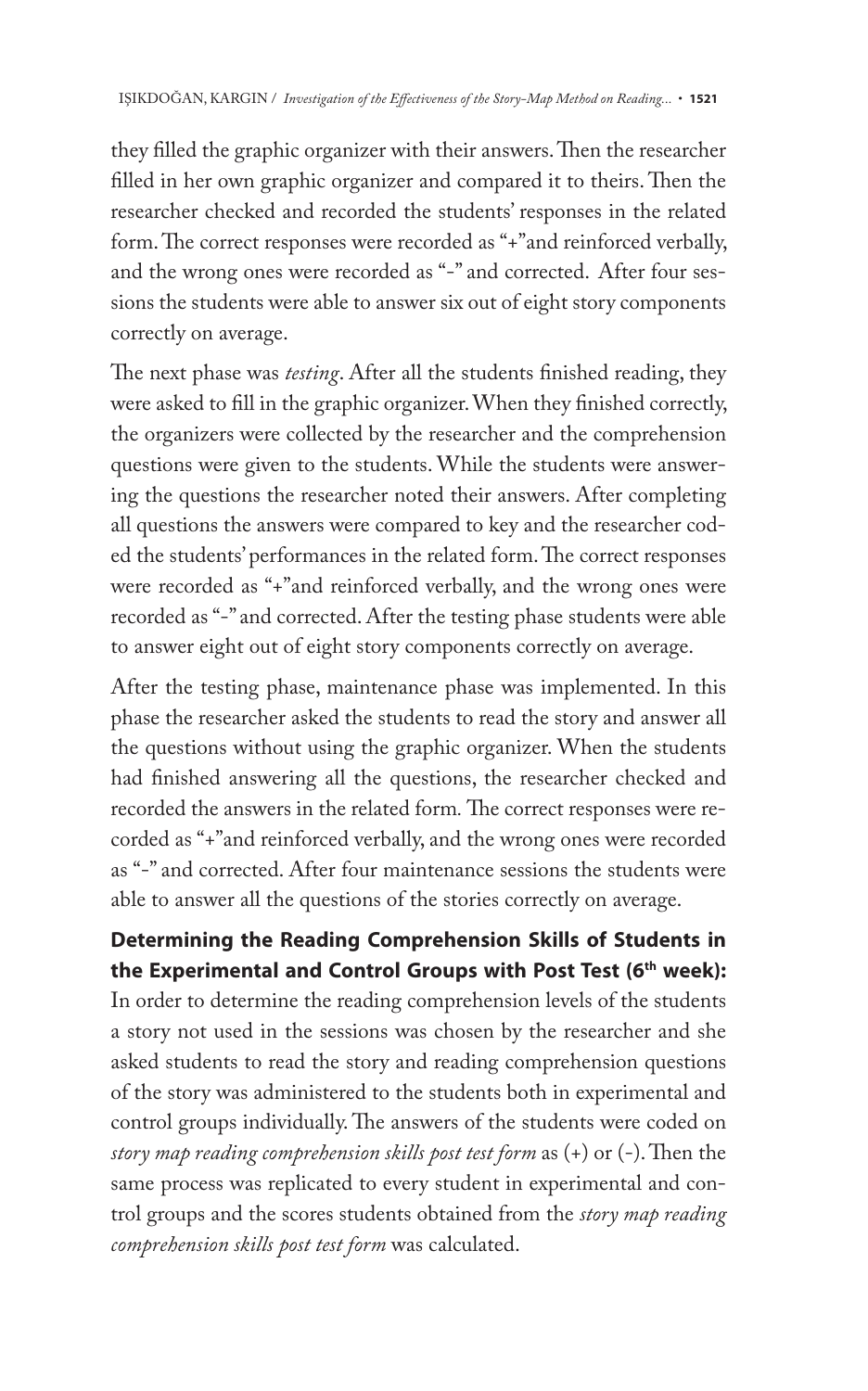they filled the graphic organizer with their answers. Then the researcher filled in her own graphic organizer and compared it to theirs. Then the researcher checked and recorded the students' responses in the related form. The correct responses were recorded as "+"and reinforced verbally, and the wrong ones were recorded as "-" and corrected. After four sessions the students were able to answer six out of eight story components correctly on average.

The next phase was *testing*. After all the students finished reading, they were asked to fill in the graphic organizer. When they finished correctly, the organizers were collected by the researcher and the comprehension questions were given to the students. While the students were answering the questions the researcher noted their answers. After completing all questions the answers were compared to key and the researcher coded the students' performances in the related form. The correct responses were recorded as "+"and reinforced verbally, and the wrong ones were recorded as "-" and corrected. After the testing phase students were able to answer eight out of eight story components correctly on average.

After the testing phase, maintenance phase was implemented. In this phase the researcher asked the students to read the story and answer all the questions without using the graphic organizer. When the students had finished answering all the questions, the researcher checked and recorded the answers in the related form*.* The correct responses were recorded as "+"and reinforced verbally, and the wrong ones were recorded as "-" and corrected. After four maintenance sessions the students were able to answer all the questions of the stories correctly on average.

# **Determining the Reading Comprehension Skills of Students in the Experimental and Control Groups with Post Test (6th week):**

In order to determine the reading comprehension levels of the students a story not used in the sessions was chosen by the researcher and she asked students to read the story and reading comprehension questions of the story was administered to the students both in experimental and control groups individually. The answers of the students were coded on *story map reading comprehension skills post test form* as (+) or (-). Then the same process was replicated to every student in experimental and control groups and the scores students obtained from the *story map reading comprehension skills post test form* was calculated.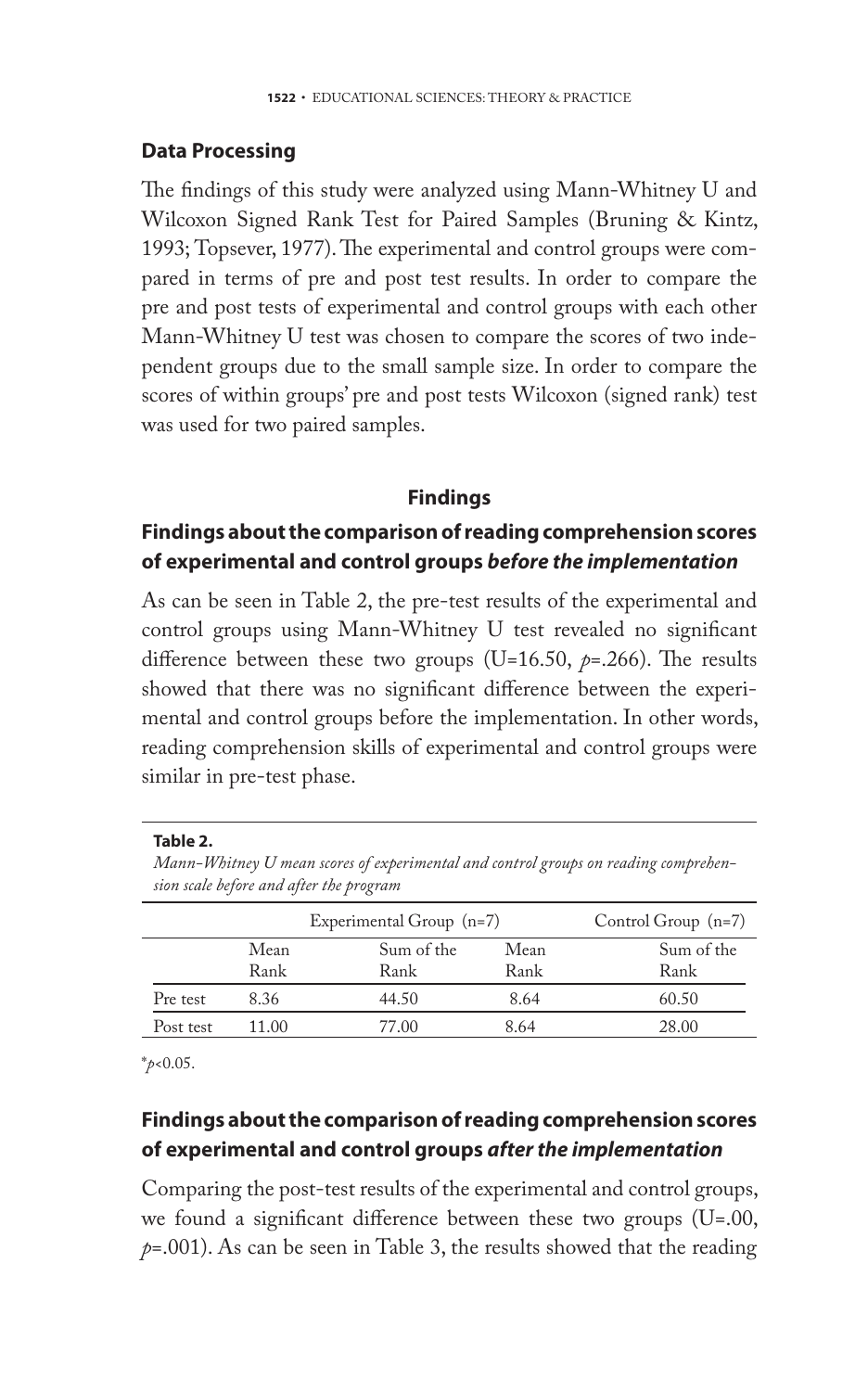## **Data Processing**

The findings of this study were analyzed using Mann-Whitney U and Wilcoxon Signed Rank Test for Paired Samples (Bruning & Kintz, 1993; Topsever, 1977). The experimental and control groups were compared in terms of pre and post test results. In order to compare the pre and post tests of experimental and control groups with each other Mann-Whitney U test was chosen to compare the scores of two independent groups due to the small sample size. In order to compare the scores of within groups' pre and post tests Wilcoxon (signed rank) test was used for two paired samples.

## **Findings**

## **Findings about the comparison of reading comprehension scores of experimental and control groups** *before the implementation*

As can be seen in Table 2, the pre-test results of the experimental and control groups using Mann-Whitney U test revealed no significant difference between these two groups (U=16.50, *p*=.266). The results showed that there was no significant difference between the experimental and control groups before the implementation. In other words, reading comprehension skills of experimental and control groups were similar in pre-test phase.

#### **Table 2.**

*Mann-Whitney U mean scores of experimental and control groups on reading comprehension scale before and after the program* 

|           |       | Experimental Group (n=7) | Control Group $(n=7)$ |            |  |
|-----------|-------|--------------------------|-----------------------|------------|--|
|           | Mean  | Sum of the               | Mean                  | Sum of the |  |
|           | Rank  | Rank                     | Rank                  | Rank       |  |
| Pre test  | 8.36  | 44.50                    | 8.64                  | 60.50      |  |
| Post test | 11.00 | 77.00                    | 8.64                  | 28.00      |  |

\**p*<0.05.

## **Findings about the comparison of reading comprehension scores of experimental and control groups** *after the implementation*

Comparing the post-test results of the experimental and control groups, we found a significant difference between these two groups (U=.00,  $p=0.001$ ). As can be seen in Table 3, the results showed that the reading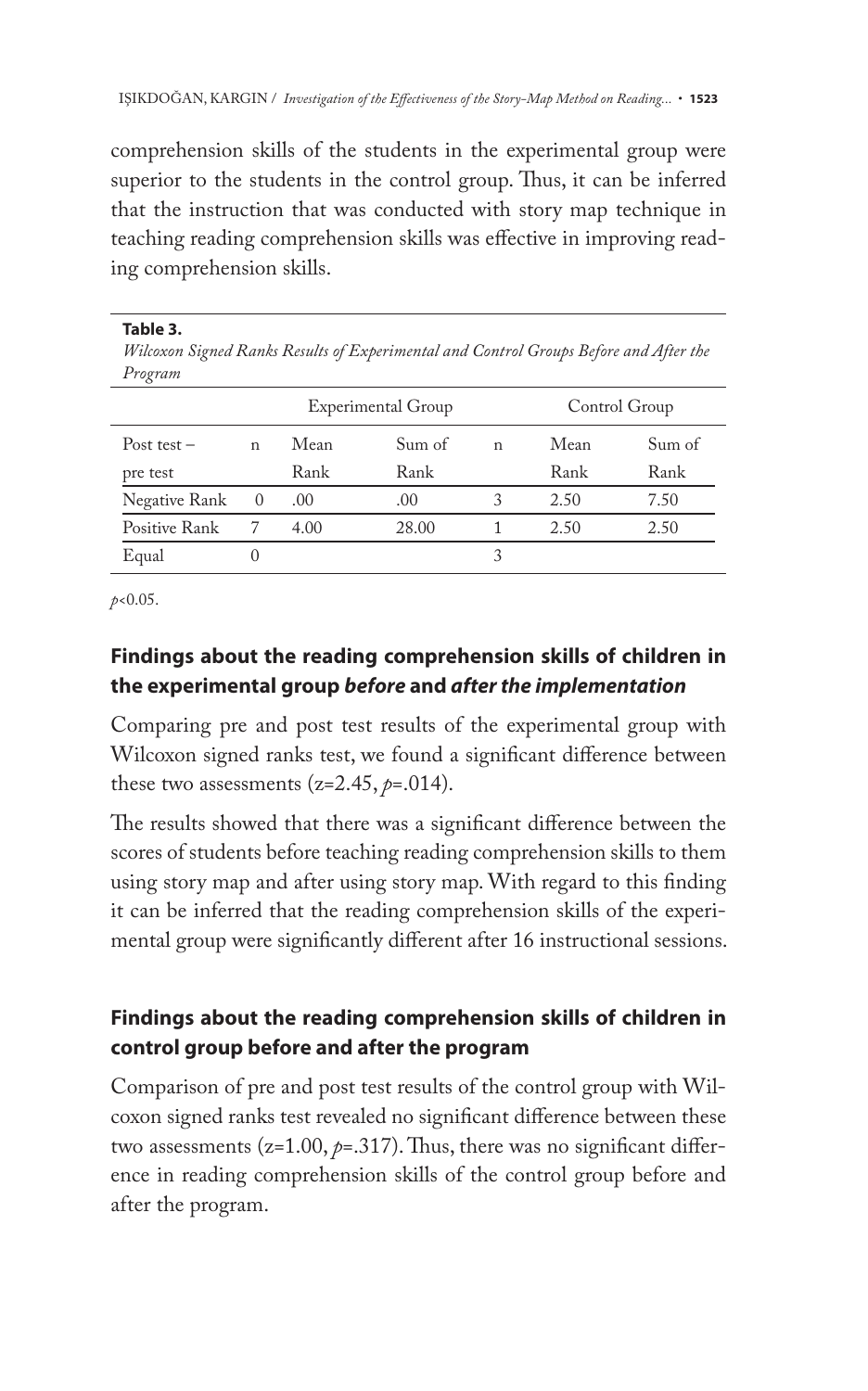comprehension skills of the students in the experimental group were superior to the students in the control group. Thus, it can be inferred that the instruction that was conducted with story map technique in teaching reading comprehension skills was effective in improving reading comprehension skills.

**Table 3.**

*Wilcoxon Signed Ranks Results of Experimental and Control Groups Before and After the Program* 

|               |              | Experimental Group |        |   | Control Group |        |  |
|---------------|--------------|--------------------|--------|---|---------------|--------|--|
| Post test $-$ | $\mathsf{n}$ | Mean               | Sum of | n | Mean          | Sum of |  |
| pre test      |              | Rank               | Rank   |   | Rank          | Rank   |  |
| Negative Rank | $\theta$     | .00                | .00    |   | 2.50          | 7.50   |  |
| Positive Rank |              | 4.00               | 28.00  |   | 2.50          | 2.50   |  |
| Equal         |              |                    |        |   |               |        |  |

*p*<0.05.

# **Findings about the reading comprehension skills of children in the experimental group** *before* **and** *after the implementation*

Comparing pre and post test results of the experimental group with Wilcoxon signed ranks test, we found a significant difference between these two assessments  $(z=2.45, p=.014)$ .

The results showed that there was a significant difference between the scores of students before teaching reading comprehension skills to them using story map and after using story map. With regard to this finding it can be inferred that the reading comprehension skills of the experimental group were significantly different after 16 instructional sessions.

# **Findings about the reading comprehension skills of children in control group before and after the program**

Comparison of pre and post test results of the control group with Wilcoxon signed ranks test revealed no significant difference between these two assessments  $(z=1.00, p=.317)$ . Thus, there was no significant difference in reading comprehension skills of the control group before and after the program.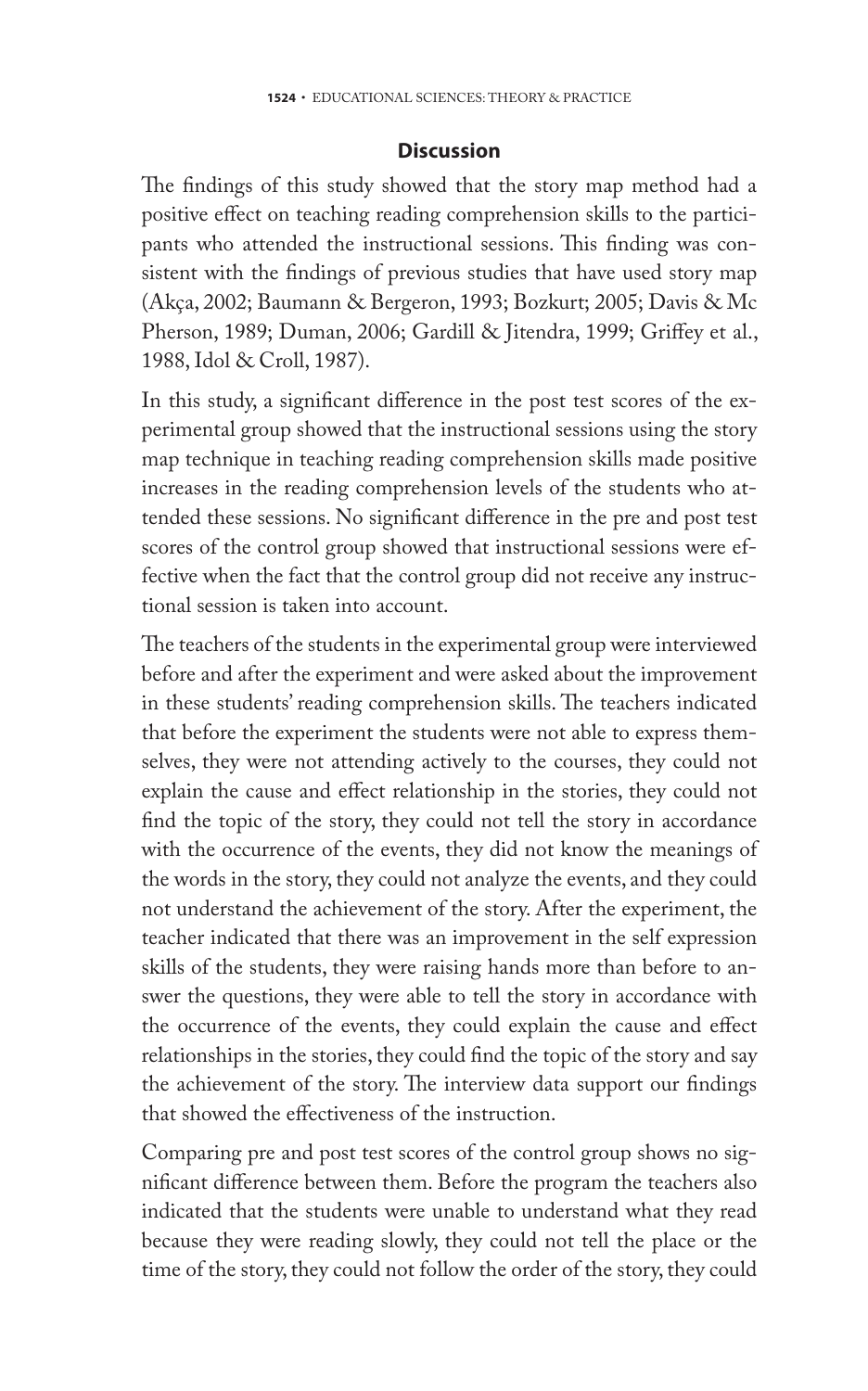#### **Discussion**

The findings of this study showed that the story map method had a positive effect on teaching reading comprehension skills to the participants who attended the instructional sessions. This finding was consistent with the findings of previous studies that have used story map (Akça, 2002; Baumann & Bergeron, 1993; Bozkurt; 2005; Davis & Mc Pherson, 1989; Duman, 2006; Gardill & Jitendra, 1999; Griffey et al., 1988, Idol & Croll, 1987).

In this study, a significant difference in the post test scores of the experimental group showed that the instructional sessions using the story map technique in teaching reading comprehension skills made positive increases in the reading comprehension levels of the students who attended these sessions. No significant difference in the pre and post test scores of the control group showed that instructional sessions were effective when the fact that the control group did not receive any instructional session is taken into account.

The teachers of the students in the experimental group were interviewed before and after the experiment and were asked about the improvement in these students' reading comprehension skills. The teachers indicated that before the experiment the students were not able to express themselves, they were not attending actively to the courses, they could not explain the cause and effect relationship in the stories, they could not find the topic of the story, they could not tell the story in accordance with the occurrence of the events, they did not know the meanings of the words in the story, they could not analyze the events, and they could not understand the achievement of the story. After the experiment, the teacher indicated that there was an improvement in the self expression skills of the students, they were raising hands more than before to answer the questions, they were able to tell the story in accordance with the occurrence of the events, they could explain the cause and effect relationships in the stories, they could find the topic of the story and say the achievement of the story. The interview data support our findings that showed the effectiveness of the instruction.

Comparing pre and post test scores of the control group shows no significant difference between them. Before the program the teachers also indicated that the students were unable to understand what they read because they were reading slowly, they could not tell the place or the time of the story, they could not follow the order of the story, they could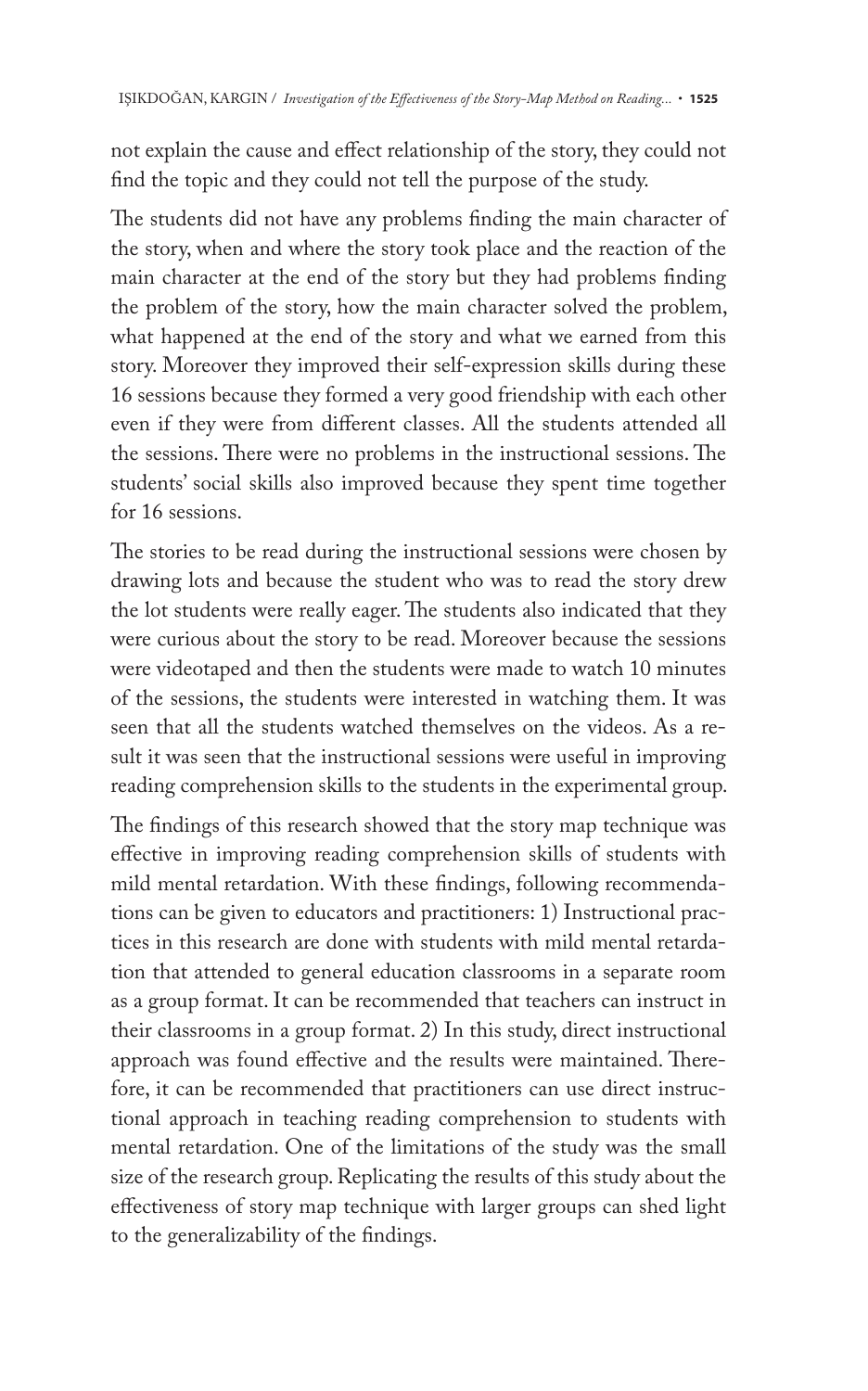not explain the cause and effect relationship of the story, they could not find the topic and they could not tell the purpose of the study.

The students did not have any problems finding the main character of the story, when and where the story took place and the reaction of the main character at the end of the story but they had problems finding the problem of the story, how the main character solved the problem, what happened at the end of the story and what we earned from this story. Moreover they improved their self-expression skills during these 16 sessions because they formed a very good friendship with each other even if they were from different classes. All the students attended all the sessions. There were no problems in the instructional sessions. The students' social skills also improved because they spent time together for 16 sessions.

The stories to be read during the instructional sessions were chosen by drawing lots and because the student who was to read the story drew the lot students were really eager. The students also indicated that they were curious about the story to be read. Moreover because the sessions were videotaped and then the students were made to watch 10 minutes of the sessions, the students were interested in watching them. It was seen that all the students watched themselves on the videos. As a result it was seen that the instructional sessions were useful in improving reading comprehension skills to the students in the experimental group.

The findings of this research showed that the story map technique was effective in improving reading comprehension skills of students with mild mental retardation. With these findings, following recommendations can be given to educators and practitioners: 1) Instructional practices in this research are done with students with mild mental retardation that attended to general education classrooms in a separate room as a group format. It can be recommended that teachers can instruct in their classrooms in a group format. 2) In this study, direct instructional approach was found effective and the results were maintained. Therefore, it can be recommended that practitioners can use direct instructional approach in teaching reading comprehension to students with mental retardation. One of the limitations of the study was the small size of the research group. Replicating the results of this study about the effectiveness of story map technique with larger groups can shed light to the generalizability of the findings.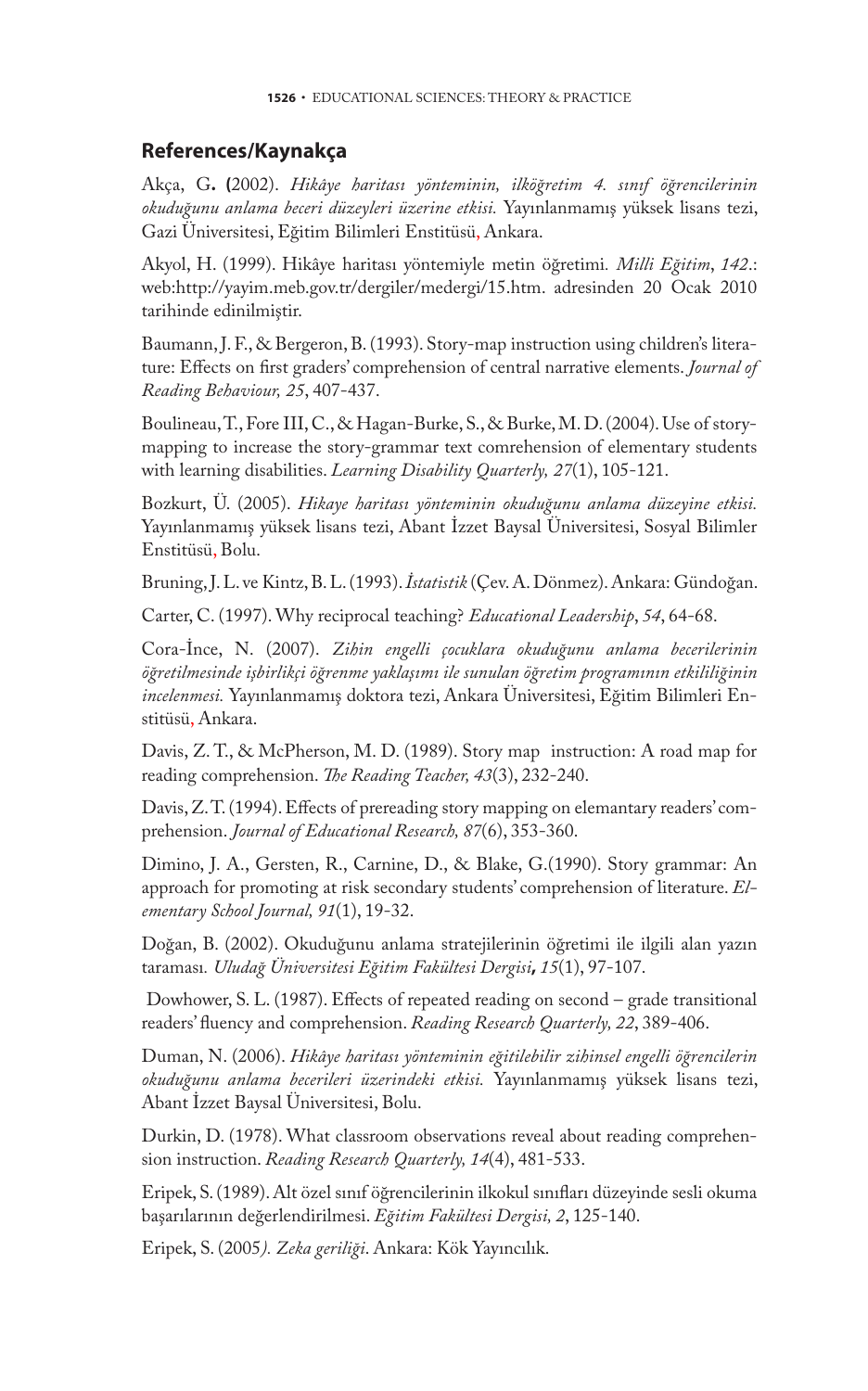#### **References/Kaynakça**

Akça, G**. (**2002). *Hikâye haritası yönteminin, ilköğretim 4. sınıf öğrencilerinin okuduğunu anlama beceri düzeyleri üzerine etkisi.* Yayınlanmamış yüksek lisans tezi, Gazi Üniversitesi, Eğitim Bilimleri Enstitüsü, Ankara.

Akyol, H. (1999). Hikâye haritası yöntemiyle metin öğretimi*. Milli Eğitim*, *142*.: web:http://yayim.meb.gov.tr/dergiler/medergi/15.htm. adresinden 20 Ocak 2010 tarihinde edinilmiştir.

Baumann, J. F., & Bergeron, B. (1993). Story-map instruction using children's literature: Effects on first graders' comprehension of central narrative elements. *Journal of Reading Behaviour, 25*, 407-437.

Boulineau, T., Fore III, C., & Hagan-Burke, S., & Burke, M. D. (2004). Use of storymapping to increase the story-grammar text comrehension of elementary students with learning disabilities. *Learning Disability Quarterly, 27*(1), 105-121.

Bozkurt, Ü. (2005). *Hikaye haritası yönteminin okuduğunu anlama düzeyine etkisi.*  Yayınlanmamış yüksek lisans tezi, Abant İzzet Baysal Üniversitesi, Sosyal Bilimler Enstitüsü, Bolu.

Bruning, J. L. ve Kintz, B. L. (1993). *İstatistik* (Çev. A. Dönmez). Ankara: Gündoğan.

Carter, C. (1997). Why reciprocal teaching? *Educational Leadership*, *54*, 64-68.

Cora-İnce, N. (2007). *Zihin engelli çocuklara okuduğunu anlama becerilerinin öğretilmesinde işbirlikçi öğrenme yaklaşımı ile sunulan öğretim programının etkililiğinin incelenmesi.* Yayınlanmamış doktora tezi, Ankara Üniversitesi, Eğitim Bilimleri Enstitüsü, Ankara.

Davis, Z. T., & McPherson, M. D. (1989). Story map instruction: A road map for reading comprehension. *The Reading Teacher, 43*(3), 232-240.

Davis, Z. T. (1994). Effects of prereading story mapping on elemantary readers' comprehension. *Journal of Educational Research, 87*(6), 353-360.

Dimino, J. A., Gersten, R., Carnine, D., & Blake, G.(1990). Story grammar: An approach for promoting at risk secondary students' comprehension of literature. *Elementary School Journal, 91*(1), 19-32.

Doğan, B. (2002). Okuduğunu anlama stratejilerinin öğretimi ile ilgili alan yazın taraması*. Uludağ Üniversitesi Eğitim Fakültesi Dergisi***,** *15*(1), 97-107.

 Dowhower, S. L. (1987). Effects of repeated reading on second – grade transitional readers' fluency and comprehension. *Reading Research Quarterly, 22*, 389-406.

Duman, N. (2006). *Hikâye haritası yönteminin eğitilebilir zihinsel engelli öğrencilerin okuduğunu anlama becerileri üzerindeki etkisi.* Yayınlanmamış yüksek lisans tezi, Abant İzzet Baysal Üniversitesi, Bolu.

Durkin, D. (1978). What classroom observations reveal about reading comprehension instruction. *Reading Research Quarterly, 14*(4), 481-533.

Eripek, S. (1989). Alt özel sınıf öğrencilerinin ilkokul sınıfları düzeyinde sesli okuma başarılarının değerlendirilmesi. *Eğitim Fakültesi Dergisi, 2*, 125-140.

Eripek, S. (2005*). Zeka geriliği*. Ankara: Kök Yayıncılık.